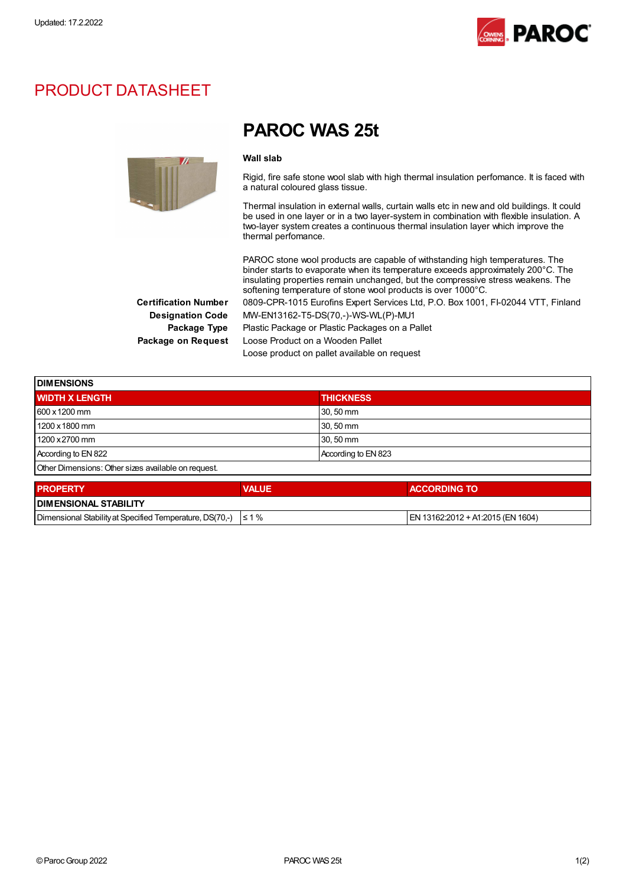

### PRODUCT DATASHEET



## PAROC WAS 25t

#### Wall slab

Rigid, fire safe stone wool slab with high thermal insulation perfomance. It is faced with a natural coloured glass tissue.

Thermal insulation in external walls, curtain walls etc in new and old buildings. It could be used in one layer or in a two layer-system in combination with flexible insulation. A two-layer system creates a continuous thermal insulation layer which improve the thermal perfomance.

|                             | PAROC stone wool products are capable of withstanding high temperatures. The<br>binder starts to evaporate when its temperature exceeds approximately 200°C. The<br>insulating properties remain unchanged, but the compressive stress weakens. The<br>softening temperature of stone wool products is over 1000°C. |
|-----------------------------|---------------------------------------------------------------------------------------------------------------------------------------------------------------------------------------------------------------------------------------------------------------------------------------------------------------------|
| <b>Certification Number</b> | 0809-CPR-1015 Eurofins Expert Services Ltd, P.O. Box 1001, FI-02044 VTT, Finland                                                                                                                                                                                                                                    |
| <b>Designation Code</b>     | MW-EN13162-T5-DS(70,-)-WS-WL(P)-MU1                                                                                                                                                                                                                                                                                 |
| Package Type                | Plastic Package or Plastic Packages on a Pallet                                                                                                                                                                                                                                                                     |
| Package on Request          | Loose Product on a Wooden Pallet                                                                                                                                                                                                                                                                                    |
|                             | Loose product on pallet available on request                                                                                                                                                                                                                                                                        |

| <b>DIMENSIONS</b>                                   |              |                     |  |  |  |  |
|-----------------------------------------------------|--------------|---------------------|--|--|--|--|
| <b>WIDTH X LENGTH</b>                               |              | <b>THICKNESS</b>    |  |  |  |  |
| 600 x 1200 mm                                       |              | 30, 50 mm           |  |  |  |  |
| 1200 x 1800 mm                                      |              | 30, 50 mm           |  |  |  |  |
| 1200 x 2700 mm                                      |              | 30, 50 mm           |  |  |  |  |
| According to EN 822                                 |              | According to EN 823 |  |  |  |  |
| Other Dimensions: Other sizes available on request. |              |                     |  |  |  |  |
| <b>PROPERTY</b>                                     | <b>VALUE</b> | <b>ACCORDING TO</b> |  |  |  |  |

| <b>DIMENSIONAL STABILITY</b>                                        |  |                                    |  |  |  |
|---------------------------------------------------------------------|--|------------------------------------|--|--|--|
| Dimensional Stability at Specified Temperature, DS(70,-) $\leq 1\%$ |  | IEN 13162:2012 + A1:2015 (EN 1604) |  |  |  |